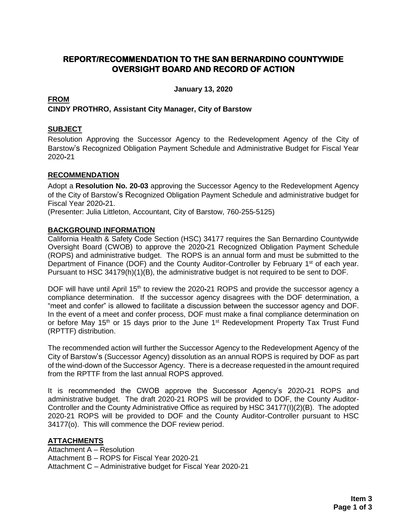# **REPORT/RECOMMENDATION TO THE SAN BERNARDINO COUNTYWIDE OVERSIGHT BOARD AND RECORD OF ACTION**

**January 13, 2020**

#### **FROM CINDY PROTHRO, Assistant City Manager, City of Barstow**

#### **SUBJECT**

Resolution Approving the Successor Agency to the Redevelopment Agency of the City of Barstow's Recognized Obligation Payment Schedule and Administrative Budget for Fiscal Year 2020**-**21

#### **RECOMMENDATION**

Adopt a **Resolution No. 20-03** approving the Successor Agency to the Redevelopment Agency of the City of Barstow's Recognized Obligation Payment Schedule and administrative budget for Fiscal Year 2020**-**21.

(Presenter: Julia Littleton, Accountant, City of Barstow, 760-255-5125)

#### **BACKGROUND INFORMATION**

California Health & Safety Code Section (HSC) 34177 requires the San Bernardino Countywide Oversight Board (CWOB) to approve the 2020**-**21 Recognized Obligation Payment Schedule (ROPS) and administrative budget. The ROPS is an annual form and must be submitted to the Department of Finance (DOF) and the County Auditor-Controller by February 1<sup>st</sup> of each year. Pursuant to HSC 34179(h)(1)(B), the administrative budget is not required to be sent to DOF.

DOF will have until April 15<sup>th</sup> to review the 2020-21 ROPS and provide the successor agency a compliance determination. If the successor agency disagrees with the DOF determination, a "meet and confer" is allowed to facilitate a discussion between the successor agency and DOF. In the event of a meet and confer process, DOF must make a final compliance determination on or before May 15<sup>th</sup> or 15 days prior to the June 1<sup>st</sup> Redevelopment Property Tax Trust Fund (RPTTF) distribution.

The recommended action will further the Successor Agency to the Redevelopment Agency of the City of Barstow's (Successor Agency) dissolution as an annual ROPS is required by DOF as part of the wind-down of the Successor Agency. There is a decrease requested in the amount required from the RPTTF from the last annual ROPS approved.

It is recommended the CWOB approve the Successor Agency's 2020**-**21 ROPS and administrative budget. The draft 2020-21 ROPS will be provided to DOF, the County Auditor-Controller and the County Administrative Office as required by HSC 34177(I)(2)(B). The adopted 2020-21 ROPS will be provided to DOF and the County Auditor-Controller pursuant to HSC 34177(o). This will commence the DOF review period.

### **ATTACHMENTS**

Attachment A – Resolution Attachment B – ROPS for Fiscal Year 2020-21 Attachment C – Administrative budget for Fiscal Year 2020-21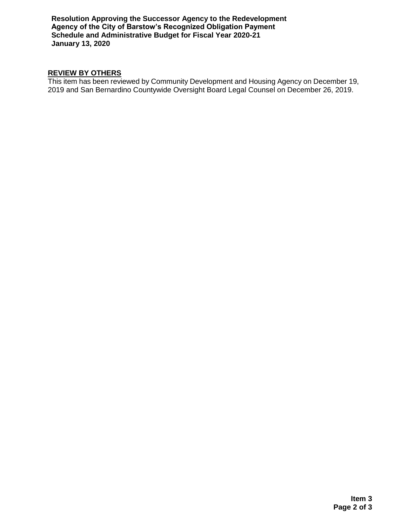**Resolution Approving the Successor Agency to the Redevelopment Agency of the City of Barstow's Recognized Obligation Payment Schedule and Administrative Budget for Fiscal Year 2020-21 January 13, 2020**

## **REVIEW BY OTHERS**

This item has been reviewed by Community Development and Housing Agency on December 19, 2019 and San Bernardino Countywide Oversight Board Legal Counsel on December 26, 2019.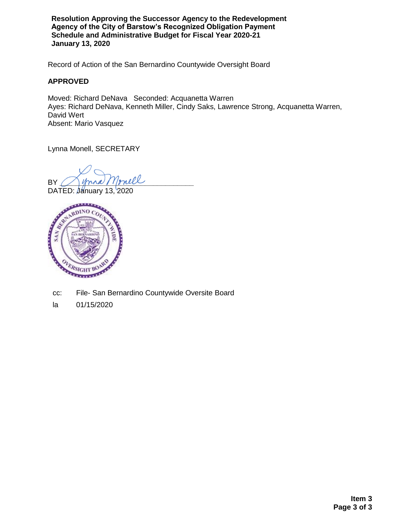**Resolution Approving the Successor Agency to the Redevelopment Agency of the City of Barstow's Recognized Obligation Payment Schedule and Administrative Budget for Fiscal Year 2020-21 January 13, 2020**

Record of Action of the San Bernardino Countywide Oversight Board

#### **APPROVED**

Moved: Richard DeNava Seconded: Acquanetta Warren Ayes: Richard DeNava, Kenneth Miller, Cindy Saks, Lawrence Strong, Acquanetta Warren, David Wert Absent: Mario Vasquez

Lynna Monell, SECRETARY

BY Mona Monell

DATED: January 13, 2020



- cc: File- San Bernardino Countywide Oversite Board
- la 01/15/2020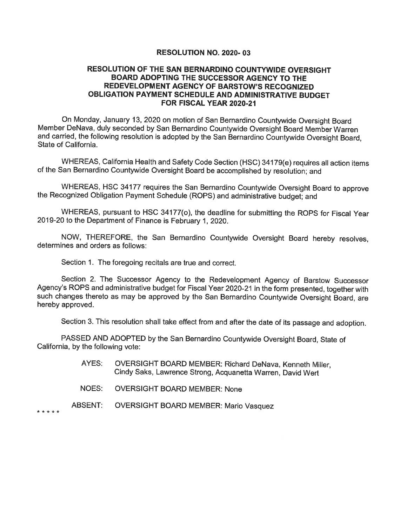#### RESOLUTION NO. 2020-03

#### RESOLUTION OF THE SAN BERNARDINO COUNTYWIDE OVERSIGHT BOARD ADOPTING THE SUCCESSOR AGENCY TO THE REDEVELOPMENT AGENCY OF BARSTOW'S RECOGNIZED OBLIGATION PAYMENT SCHEDULE AND ADMINISTRATIVE BUDGET FOR FISCAL YEAR 2020-21

On Monday, January 13, 2020 on motion of San Bernardino Countywide Oversight Board Member DeNava, duly seconded by San Bernardino Countywide Oversight Board Member Warren and carried, the following resolution is adopted by the San Bernardino Countywide Oversight Board, State of California.

WHEREAS, California Health and Safety Code Section (HSC) 34179(e) requires all action items of the San Bernardino Countywide Oversight Board be accomplished by resolution; and

WHEREAS, HSC 34177 requires the San Bernardino Countywide Oversight Board to approve the Recognized Obligation Payment Schedule (ROPS) and administrative budget: and

WHEREAS, pursuant to HSC 34177(o), the deadline for submitting the ROPS for Fiscal Year 2019-20 to the Department of Finance is February 1, 2020.

NOW, THEREFORE, the San Bernardino Countywide Oversight Board hereby resolves, determines and orders as follows:

Section 1. The foregoing recitals are true and correct.

Section 2. The Successor Agency to the Redevelopment Agency of Barstow Successor Agency's ROPS and administrative budget for Fiscal Year 2020-21 in the form presented, together with such changes thereto as may be approved by the San Bernardino Countywide Oversight Board, are hereby approved.

Section 3. This resolution shall take effect from and after the date of its passage and adoption.

PASSED AND ADOPTED by the San Bernardino Countywide Oversight Board, State of California, by the following vote:

- AYES: OVERSIGHT BOARD MEMBER: Richard DeNava, Kenneth Miller, Cindy Saks, Lawrence Strong, Acquanetta Warren, David Wert
- NOES: **OVERSIGHT BOARD MEMBER: None**
- ABSENT: **OVERSIGHT BOARD MEMBER: Mario Vasquez**

\* \* \* \* \*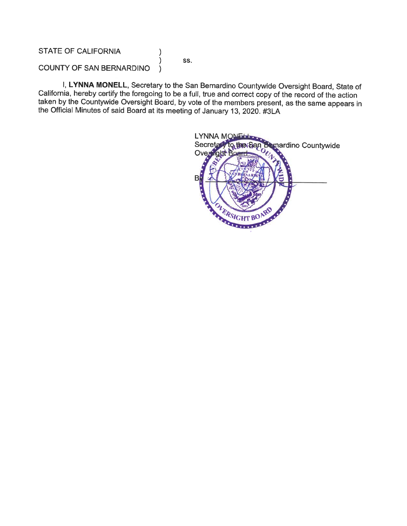### **STATE OF CALIFORNIA**

SS.

 $\mathcal{E}$  $\lambda$ 

#### COUNTY OF SAN BERNARDINO  $\lambda$

I, LYNNA MONELL, Secretary to the San Bernardino Countywide Oversight Board, State of California, hereby certify the foregoing to be a full, true and correct copy of the record of the action taken by the Countywide Oversight Board, by vote of the members present, as the same appears in the Official Minutes of said Board at its meeting of January 13, 2020. #3LA

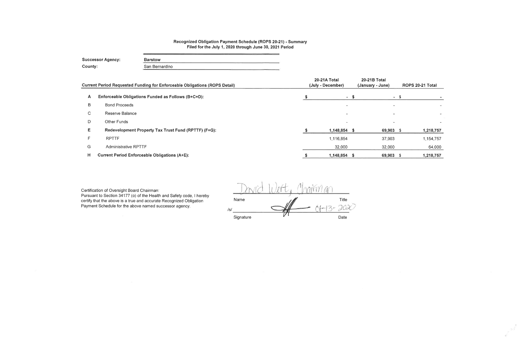# Recognized Obligation Payment Schedule (ROPS 20-21) - Summary<br>Filed for the July 1, 2020 through June 30, 2021 Period

| <b>Successor Agency:</b> | <b>Barstow</b> |
|--------------------------|----------------|
| County:                  | San Bernardino |

|    | <b>Current Period Requested Funding for Enforceable Obligations (ROPS Detail)</b> | <b>20-21A Total</b><br>(July - December) |      | 20-21B Total<br>(January - June) |      | ROPS 20-21 Total |
|----|-----------------------------------------------------------------------------------|------------------------------------------|------|----------------------------------|------|------------------|
| A  | Enforceable Obligations Funded as Follows (B+C+D):                                |                                          | $-S$ | $\sim$                           | - 55 |                  |
| B  | <b>Bond Proceeds</b>                                                              | <b>1999</b>                              |      |                                  |      |                  |
| C. | Reserve Balance                                                                   |                                          |      |                                  |      |                  |
| D  | Other Funds                                                                       |                                          |      |                                  |      |                  |
| Е. | Redevelopment Property Tax Trust Fund (RPTTF) (F+G):                              | 1,148,854 \$                             |      | 69,903 \$                        |      | 1,218,757        |
| F. | <b>RPTTF</b>                                                                      | 1,116,854                                |      | 37,903                           |      | 1,154,757        |
| G  | <b>Administrative RPTTF</b>                                                       | 32,000                                   |      | 32,000                           |      | 64,000           |
| н  | <b>Current Period Enforceable Obligations (A+E):</b>                              | 1,148,854 \$                             |      | 69,903                           |      | 1,218,757        |

Certification of Oversight Board Chairman:<br>Pursuant to Section 34177 (o) of the Health and Safety code, I hereby certify that the above is a true and accurate Recognized Obligation<br>Payment Schedule for the above named successor agency.

 $2180760$ Title<br>202 Name  $/s/$ Signature Date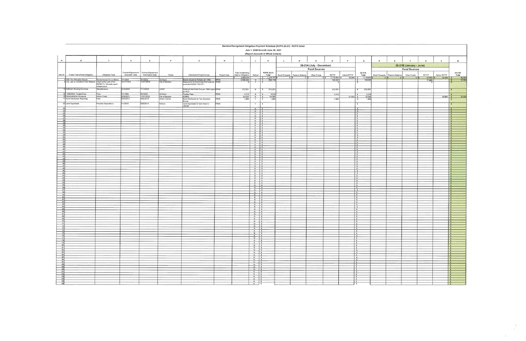|                                                                                              |                                                            |                                                                         |                                             |                                        |                            |                                                                                   |                     | Barstow Recognized Obligation Payment Schedule (ROPS 20-21) - ROPS Detail |                                                                        |                                             |    |                                 |                          |                           |             |                                          |                 |                                 |                         |                  |              |                                                        |
|----------------------------------------------------------------------------------------------|------------------------------------------------------------|-------------------------------------------------------------------------|---------------------------------------------|----------------------------------------|----------------------------|-----------------------------------------------------------------------------------|---------------------|---------------------------------------------------------------------------|------------------------------------------------------------------------|---------------------------------------------|----|---------------------------------|--------------------------|---------------------------|-------------|------------------------------------------|-----------------|---------------------------------|-------------------------|------------------|--------------|--------------------------------------------------------|
|                                                                                              |                                                            |                                                                         |                                             |                                        |                            |                                                                                   |                     |                                                                           |                                                                        | July 1, 2020 through June 30, 2021          |    |                                 |                          |                           |             |                                          |                 |                                 |                         |                  |              |                                                        |
|                                                                                              |                                                            |                                                                         |                                             |                                        |                            |                                                                                   |                     |                                                                           |                                                                        | (Report Amounts in Whole Dollars)           |    |                                 |                          |                           |             |                                          |                 |                                 |                         |                  |              |                                                        |
| A                                                                                            | $\mathbf{B}$                                               | $\mathbf{c}$                                                            | $\Box$                                      | E                                      | F                          | $\mathbf{G}$                                                                      | H                   |                                                                           | $\mathsf{J}$                                                           | $\mathbf{K}$                                | L. | M                               |                          | $\circ$                   | P           | $\circ$                                  | R               | $\mathbf{s}$                    |                         | $\mathbf{u}$     | $\mathbf{v}$ | w                                                      |
|                                                                                              |                                                            |                                                                         |                                             |                                        |                            |                                                                                   |                     |                                                                           |                                                                        |                                             |    |                                 | 20-21A (July - December) |                           |             |                                          |                 |                                 | 20-21B (January - June) |                  |              |                                                        |
|                                                                                              |                                                            |                                                                         |                                             |                                        |                            |                                                                                   |                     |                                                                           |                                                                        |                                             |    |                                 | <b>Fund Sources</b>      |                           |             |                                          |                 |                                 | <b>Fund Sources</b>     |                  |              |                                                        |
| Item $\#$                                                                                    | Project Name/Debt Obligation                               | Obligation Type                                                         | Contract/Agreement<br><b>Execution Date</b> | Contract/Agreement<br>Termination Date | Payee                      | Description/Project Scope                                                         | Project Area        | <b>Total Outstanding</b><br>Debt or Obligation                            | Retired                                                                | ROPS 20-21<br>Total                         |    | Bond Proceeds   Reserve Balance | Other Funds              | RPTTF                     | Admin RPTTF | $20 - 21A$<br>Total                      |                 | Bond Proceeds   Reserve Balance | Other Funds             | RPTTF            | Admin RPTTF  | 20-21B<br>Total                                        |
|                                                                                              | 1 2004 Tax Allocation Bonds                                | Bonds Issued On or Before                                               | 11/2004                                     | 9/1/2022                               |                            | Bonds Issued to Partially ref. 1994 RR06                                          |                     | 2,888,344<br>2506345                                                      | $N$ $S$                                                                | $S = 1,218,757$<br>836.758                  |    | $0$   $\sqrt{5}$<br>- 0 F       | $0$   \$                 | $1,116,854$ \$<br>798 855 |             | 32,000 \$ 1.148,854 \$<br>798.855        | 0 <sup>15</sup> | 0 <sup>15</sup>                 | 0 <sup>15</sup>         | 37,903<br>37,903 | $32.000$ \$  | 69.903                                                 |
|                                                                                              | 9 City Loan to Construct Pool Reserve                      | City/County Loan (Prior<br>06/28/11), 3rd party agmt-<br>infrastructure | 0/17/1975                                   | 12/31/2018                             | US Bank<br>City of Barstow | Repayment of Swimming Pool Loan as RR06<br>amended 9/2001 Pd12/11                 |                     | $^{\circ}$                                                                | Y                                                                      | IS.                                         |    |                                 |                          |                           |             |                                          |                 |                                 |                         |                  |              |                                                        |
|                                                                                              | 13 Deferred Housing Set-Aside<br>14 1994/2004 Trustee Fees | Miscellaneous                                                           | 6/18/2005                                   | 7/14/2005                              | LMIHF                      | Deferred Set-Aside Due per 1996 Agmt RR06<br>w/ HCD                               |                     | 312,931                                                                   | N                                                                      | 312,931<br>5                                |    |                                 |                          | 312,931                   |             | 312,931<br>$\sim$                        |                 |                                 |                         |                  |              |                                                        |
|                                                                                              | 15 Administrative Allowance                                | Fees<br>Admin Costs                                                     | 5/1/1994<br>6/28/2011                       | 9/1/2022<br>12/31/2022                 | US Bank<br>City of Barstow | Trustee Fees<br>ADMIN                                                             | RR06                | 3.218<br>64.000                                                           | N<br>N                                                                 | 3,218<br><b>S</b><br>64.000<br>$\mathsf{s}$ |    |                                 |                          | 3,218                     | $32.000$ \$ | 3,218<br>32,000                          |                 |                                 |                         |                  | 32,000 S     | 32.000                                                 |
|                                                                                              | 17 Bond Disclosure Reporting<br>20 Land Appraisals         | Fees<br><b>Property Dispositions</b>                                    | 9/30/2012<br>1/1/2016                       | 9/30/2015<br>6/30/2016                 | Urban Futures<br>Various   | Bond Disclosure for Tax Allocation<br>Bonds<br>Land Appraisals for land listed in | <b>RR06</b><br>RR06 | 1,850                                                                     | Y<br>Y                                                                 | 1,850<br>$\sim$<br>$\sqrt{2}$               |    |                                 |                          | 1,850                     |             | 1,850<br>$\mathbf{s}$                    |                 |                                 |                         |                  |              |                                                        |
|                                                                                              |                                                            |                                                                         |                                             |                                        |                            | LRPMP <sup>1</sup>                                                                |                     |                                                                           |                                                                        |                                             |    |                                 |                          |                           |             | $\mathbf{s}$                             |                 |                                 |                         |                  |              |                                                        |
|                                                                                              |                                                            |                                                                         |                                             |                                        |                            |                                                                                   |                     |                                                                           | $N$ \$<br>$N$ 5                                                        |                                             |    |                                 |                          |                           |             | s.                                       |                 |                                 |                         |                  |              | $\mathbf{z}$                                           |
| $\begin{array}{r} 24 \\ 25 \\ 26 \end{array}$                                                |                                                            |                                                                         |                                             |                                        |                            |                                                                                   |                     |                                                                           | $N$ $S$<br>$N = 5$                                                     |                                             |    |                                 |                          |                           |             | $\sim$<br>$\overline{\mathbf{s}}$        |                 |                                 |                         |                  |              | ∣s.                                                    |
| 27                                                                                           |                                                            |                                                                         |                                             |                                        |                            |                                                                                   |                     |                                                                           | $N$ $S$<br>$N$ $S$                                                     |                                             |    |                                 |                          |                           |             | $\mathbf{z}$<br>$\overline{\phantom{a}}$ |                 |                                 |                         |                  |              | $\overline{\phantom{a}}$<br>$\sqrt{s}$                 |
| $\begin{array}{r} 28 \\ 29 \end{array}$                                                      |                                                            |                                                                         |                                             |                                        |                            |                                                                                   |                     |                                                                           | $N \mid S$<br>$N \simeq$ $S$                                           |                                             |    |                                 |                          |                           |             | s <br>Is.                                |                 |                                 |                         |                  |              | s                                                      |
| $\begin{array}{r} 30 \\ 31 \\ 32 \\ 33 \end{array}$                                          |                                                            |                                                                         |                                             |                                        |                            |                                                                                   |                     |                                                                           | $N$ $S$                                                                |                                             |    |                                 |                          |                           |             | l s                                      |                 |                                 |                         |                  |              | $\vert$ s<br>$\mathbf{S}$                              |
|                                                                                              |                                                            |                                                                         |                                             |                                        |                            |                                                                                   |                     |                                                                           | $N \mid S$<br>$N$ $S$                                                  |                                             |    |                                 |                          |                           |             | $\sqrt{2}$<br>s                          |                 |                                 |                         |                  |              | $\vert$ s<br>$\sqrt{2}$                                |
| 34<br>35                                                                                     |                                                            |                                                                         |                                             |                                        |                            |                                                                                   |                     |                                                                           | $N$ $s$<br>$N$ $s$                                                     |                                             |    |                                 |                          |                           |             | $\sqrt{s}$<br> s                         |                 |                                 |                         |                  |              | $\sqrt{s}$<br>$\sqrt{s}$                               |
|                                                                                              |                                                            |                                                                         |                                             |                                        |                            |                                                                                   |                     |                                                                           | $N \mid s$<br>$N$ $S$                                                  |                                             |    |                                 |                          |                           |             | $\sqrt{2}$<br>5                          |                 |                                 |                         |                  |              | 5<br>  s                                               |
| $\begin{array}{r} \hline 36 \\ \hline 37 \\ \hline 38 \\ \hline 39 \\ \hline \end{array}$    |                                                            |                                                                         |                                             |                                        |                            |                                                                                   |                     |                                                                           | $N$ $S$                                                                |                                             |    |                                 |                          |                           |             | s                                        |                 |                                 |                         |                  |              | $\vert$ s                                              |
| 40                                                                                           |                                                            |                                                                         |                                             |                                        |                            |                                                                                   |                     |                                                                           | $\begin{array}{c c c c c} N & S \\ \hline N & S \\ \end{array}$        |                                             |    |                                 |                          |                           |             | s <br>$\sqrt{S}$                         |                 |                                 |                         |                  |              | $\vert$ s<br>$\sqrt{ }$                                |
| 41<br>42                                                                                     |                                                            |                                                                         |                                             |                                        |                            |                                                                                   |                     |                                                                           | $N$ $s$<br>$N$ $s$                                                     |                                             |    |                                 |                          |                           |             | s <br>$\sqrt{s}$                         |                 |                                 |                         |                  |              | 5<br>$\sqrt{s}$                                        |
| $\frac{43}{44}$                                                                              |                                                            |                                                                         |                                             |                                        |                            |                                                                                   |                     |                                                                           | $N$ 5<br>$N$ $s$                                                       |                                             |    |                                 |                          |                           |             | $\vert$ s<br>$\vert s \vert$             |                 |                                 |                         |                  |              | $\vert s \vert$<br> s                                  |
| 45<br>46                                                                                     |                                                            |                                                                         |                                             |                                        |                            |                                                                                   |                     |                                                                           | $N$ \$<br>$N$ 5                                                        |                                             |    |                                 |                          |                           |             | 5                                        |                 |                                 |                         |                  |              | $\sqrt{s}$                                             |
| 47                                                                                           |                                                            |                                                                         |                                             |                                        |                            |                                                                                   |                     |                                                                           | $N$ 5                                                                  |                                             |    |                                 |                          |                           |             | z<br>$\sqrt{5}$                          |                 |                                 |                         |                  |              | Ιs<br>$\vert s \vert$                                  |
| 48<br>49                                                                                     |                                                            |                                                                         |                                             |                                        |                            |                                                                                   |                     |                                                                           | $N$ $S$<br>$N$ $s$                                                     |                                             |    |                                 |                          |                           |             | $\overline{\phantom{a}}$<br>$\sqrt{s}$   |                 |                                 |                         |                  |              | $\sqrt{s}$<br>$\sqrt{s}$                               |
| $\begin{array}{r} 50 \\ 51 \end{array}$                                                      |                                                            |                                                                         |                                             |                                        |                            |                                                                                   |                     |                                                                           | $N$ $S$<br>$N$ \$                                                      |                                             |    |                                 |                          |                           |             | $\vert$ s<br>$\vert s \vert$             |                 |                                 |                         |                  |              | $\sqrt{2}$<br>$\vert$ s                                |
| 52<br>53                                                                                     |                                                            |                                                                         |                                             |                                        |                            |                                                                                   |                     |                                                                           | $\begin{array}{c c c c} N & S \\ \hline N & S \\ \end{array}$          |                                             |    |                                 |                          |                           |             | 5<br>s                                   |                 |                                 |                         |                  |              | $\sqrt{2}$<br>$\sim$                                   |
| $\begin{array}{r} 54 \\ 55 \end{array}$                                                      |                                                            |                                                                         |                                             |                                        |                            |                                                                                   |                     |                                                                           | $N$ $s$                                                                |                                             |    |                                 |                          |                           |             | s                                        |                 |                                 |                         |                  |              | s                                                      |
| 56                                                                                           |                                                            |                                                                         |                                             |                                        |                            |                                                                                   |                     |                                                                           | $N$ $s$<br>$N$ \$                                                      |                                             |    |                                 |                          |                           |             | $\sqrt{5}$<br>$\vert s \vert$            |                 |                                 |                         |                  |              | I۶<br>$\sqrt{s}$                                       |
| 58                                                                                           |                                                            |                                                                         |                                             |                                        |                            |                                                                                   |                     |                                                                           | $N$ $S$<br>$N$ $S$                                                     |                                             |    |                                 |                          |                           |             | $\sqrt{2}$<br>$\overline{\phantom{a}}$   |                 |                                 |                         |                  |              | $  \cdot$<br> s                                        |
| 59<br>60                                                                                     |                                                            |                                                                         |                                             |                                        |                            |                                                                                   |                     |                                                                           | $\begin{array}{c c c c c} N & S \\ \hline N & S \\ \end{array}$        |                                             |    |                                 |                          |                           |             | $\sqrt{5}$<br>$\sqrt{2}$                 |                 |                                 |                         |                  |              | $\vert$ s                                              |
| 61                                                                                           |                                                            |                                                                         |                                             |                                        |                            |                                                                                   |                     |                                                                           | $N$ $5$                                                                |                                             |    |                                 |                          |                           |             | $\sqrt{2}$                               |                 |                                 |                         |                  |              | $\vert$ s<br>$\sqrt{s}$                                |
| 62<br>63                                                                                     |                                                            |                                                                         |                                             |                                        |                            |                                                                                   |                     |                                                                           | $N$ $s$<br>$N$ \$                                                      |                                             |    |                                 |                          |                           |             | $\sqrt{s}$<br>$\sqrt{s}$                 |                 |                                 |                         |                  |              | $\vert$ s<br>$\sqrt{s}$                                |
| 64                                                                                           |                                                            |                                                                         |                                             |                                        |                            |                                                                                   |                     |                                                                           | $N$ $S$<br>$N$ $S$                                                     |                                             |    |                                 |                          |                           |             | $\vert$ s<br>Ιs                          |                 |                                 |                         |                  |              | s <br> s                                               |
| $\begin{array}{r} 65 \\ 66 \end{array}$<br>67                                                |                                                            |                                                                         |                                             |                                        |                            |                                                                                   |                     |                                                                           | $\begin{array}{c c c c c} N & S \\ \hline N & S \\ \hline \end{array}$ |                                             |    |                                 |                          |                           |             | $\vert s \vert$<br>$\vert s \vert$       |                 |                                 |                         |                  |              | S <br>$\vert$ s                                        |
| 68                                                                                           |                                                            |                                                                         |                                             |                                        |                            |                                                                                   |                     |                                                                           | $N$ $S$                                                                |                                             |    |                                 |                          |                           |             | $\overline{\phantom{a}}$                 |                 |                                 |                         |                  |              | $\sqrt{3}$                                             |
| 69<br>70                                                                                     |                                                            |                                                                         |                                             |                                        |                            |                                                                                   |                     |                                                                           | $N$ $S$<br>$N$ 5                                                       |                                             |    |                                 |                          |                           |             | l s<br>$\sqrt{2}$                        |                 |                                 |                         |                  |              | $\sqrt{s}$<br>$\sqrt{s}$                               |
| 71<br>72                                                                                     |                                                            |                                                                         |                                             |                                        |                            |                                                                                   |                     |                                                                           | $N$ 5<br>$N$ \$                                                        |                                             |    |                                 |                          |                           |             | $\vert s \vert$<br>  \$                  |                 |                                 |                         |                  |              | $\vert s \vert$<br>$\sqrt{s}$                          |
| - 73<br>74                                                                                   |                                                            |                                                                         |                                             |                                        |                            |                                                                                   |                     |                                                                           | $N$ 5<br>$\sqrt{1}$                                                    |                                             |    |                                 |                          |                           |             | $\sim$<br>$\vert$ s                      |                 |                                 |                         |                  |              | 5<br>5                                                 |
| 75                                                                                           |                                                            |                                                                         |                                             |                                        |                            |                                                                                   |                     |                                                                           | $N$ $s$                                                                |                                             |    |                                 |                          |                           |             | $\sqrt{2}$                               |                 |                                 |                         |                  |              | $  \mathbf{s}  $                                       |
| 76                                                                                           |                                                            |                                                                         |                                             |                                        |                            |                                                                                   |                     |                                                                           | $N$   S<br>$N$ $s$                                                     |                                             |    |                                 |                          |                           |             | $\mathbf{s}$<br>$\sqrt{2}$               |                 |                                 |                         |                  |              | $\overline{\mathbf{s}}$<br>$\sqrt{s}$                  |
|                                                                                              |                                                            |                                                                         |                                             |                                        |                            |                                                                                   |                     |                                                                           |                                                                        |                                             |    |                                 |                          |                           |             | s <br>$\sqrt{2}$                         |                 |                                 |                         |                  |              | s <br>$\sqrt{2}$                                       |
|                                                                                              |                                                            |                                                                         |                                             |                                        |                            |                                                                                   |                     |                                                                           |                                                                        |                                             |    |                                 |                          |                           |             | $\vert$ s<br>$\sqrt{2}$                  |                 |                                 |                         |                  |              |                                                        |
|                                                                                              |                                                            |                                                                         |                                             |                                        |                            |                                                                                   |                     |                                                                           |                                                                        |                                             |    |                                 |                          |                           |             | $\sqrt{s}$                               |                 |                                 |                         |                  |              | $\begin{array}{c c}\n\hline\ns \\ \hline\n\end{array}$ |
|                                                                                              |                                                            |                                                                         |                                             |                                        |                            |                                                                                   |                     |                                                                           | $N$ $3$                                                                |                                             |    |                                 |                          |                           |             | ΓsΓ<br>$\vert$ s                         |                 |                                 |                         |                  |              | $\sqrt{3}$<br>$\vert$ s                                |
|                                                                                              |                                                            |                                                                         |                                             |                                        |                            |                                                                                   |                     |                                                                           |                                                                        |                                             |    |                                 |                          |                           |             | $\sqrt{2}$<br>$\sqrt{2}$                 |                 |                                 |                         |                  |              | $\sqrt{s}$<br>$\sqrt{s}$                               |
|                                                                                              |                                                            |                                                                         |                                             |                                        |                            |                                                                                   |                     |                                                                           |                                                                        |                                             |    |                                 |                          |                           |             | $\vert$ s<br>  s                         |                 |                                 |                         |                  |              | $\sqrt{s}$<br>$\vert s \vert$                          |
|                                                                                              |                                                            |                                                                         |                                             |                                        |                            |                                                                                   |                     |                                                                           |                                                                        |                                             |    |                                 |                          |                           |             | S                                        |                 |                                 |                         |                  |              | $\sqrt{1}$                                             |
| 1777<br>1779<br>1979 900 913<br>1979 900 913<br>1979 900 913<br>1979 900 913<br>1979 900 913 |                                                            |                                                                         |                                             |                                        |                            |                                                                                   |                     |                                                                           | $N = 8$                                                                |                                             |    |                                 |                          |                           |             | 5<br>$\overline{\mathbf{s}}$             |                 |                                 |                         |                  |              | $\overline{\phantom{a}}$<br>$  \cdot$                  |
| $\begin{array}{r} \hline 92 \\ 93 \\ 93 \\ 94 \\ \hline 95 \\ 96 \\ \hline \end{array}$      |                                                            |                                                                         |                                             |                                        |                            |                                                                                   |                     |                                                                           |                                                                        |                                             |    |                                 |                          |                           |             | $\sqrt{2}$<br>$\sqrt{2}$                 |                 |                                 |                         |                  |              | S<br>5                                                 |
|                                                                                              |                                                            |                                                                         |                                             |                                        |                            |                                                                                   |                     |                                                                           |                                                                        |                                             |    |                                 |                          |                           |             | $\sqrt{2}$                               |                 |                                 |                         |                  |              | $\sqrt{ }$                                             |
|                                                                                              |                                                            |                                                                         |                                             |                                        |                            |                                                                                   |                     |                                                                           |                                                                        |                                             |    |                                 |                          |                           |             | $\sim$                                   |                 |                                 |                         |                  |              | $\vert$ s<br>$\mathbf{z}$                              |

 $\vec{f}$  .

 $\mathcal{G}^{\mathcal{A}}$  . The contract of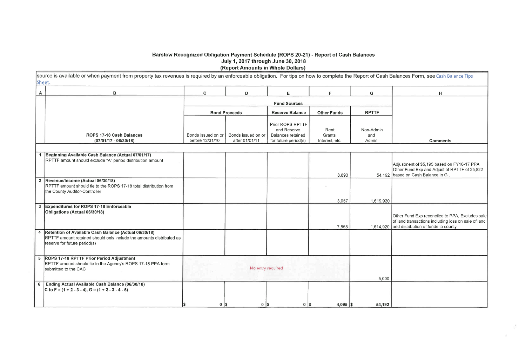# Barstow Recognized Obligation Payment Schedule (ROPS 20-21) - Report of Cash Balances July 1, 2017 through June 30, 2018 (Report Amounts in Whole Dollars)

source is available or when payment from property tax revenues is required by an enforceable obligation. For tips on how to complete the Report of Cash Sheet.

| A              | B                                                                                                                                                               | C                                     | D                                    | Е                                                                                   | F.                                 | G                         |
|----------------|-----------------------------------------------------------------------------------------------------------------------------------------------------------------|---------------------------------------|--------------------------------------|-------------------------------------------------------------------------------------|------------------------------------|---------------------------|
|                |                                                                                                                                                                 |                                       |                                      | <b>Fund Sources</b>                                                                 |                                    |                           |
|                |                                                                                                                                                                 |                                       | <b>Bond Proceeds</b>                 | <b>Reserve Balance</b>                                                              | <b>Other Funds</b>                 | <b>RPTTF</b>              |
|                | ROPS 17-18 Cash Balances<br>$(07/01/17 - 06/30/18)$                                                                                                             | Bonds issued on or<br>before 12/31/10 | Bonds issued on or<br>after 01/01/11 | Prior ROPS RPTTF<br>and Reserve<br><b>Balances retained</b><br>for future period(s) | Rent,<br>Grants,<br>Interest, etc. | Non-Admin<br>and<br>Admin |
| $\mathbf{1}$   | Beginning Available Cash Balance (Actual 07/01/17)                                                                                                              |                                       |                                      |                                                                                     |                                    |                           |
|                | RPTTF amount should exclude "A" period distribution amount                                                                                                      |                                       |                                      |                                                                                     |                                    |                           |
|                |                                                                                                                                                                 |                                       |                                      |                                                                                     | 8,893                              | 54,19                     |
|                | 2 Revenue/Income (Actual 06/30/18)<br>RPTTF amount should tie to the ROPS 17-18 total distribution from<br>the County Auditor-Controller                        |                                       |                                      |                                                                                     |                                    |                           |
|                |                                                                                                                                                                 |                                       |                                      |                                                                                     | 3,057                              | 1,619,92                  |
|                | 3 Expenditures for ROPS 17-18 Enforceable<br>Obligations (Actual 06/30/18)                                                                                      |                                       |                                      |                                                                                     |                                    |                           |
|                |                                                                                                                                                                 |                                       |                                      |                                                                                     | 7,855                              | 1,614,92                  |
|                | 4 Retention of Available Cash Balance (Actual 06/30/18)<br>RPTTF amount retained should only include the amounts distributed as<br>reserve for future period(s) |                                       |                                      |                                                                                     |                                    |                           |
|                | 5 ROPS 17-18 RPTTF Prior Period Adjustment<br>RPTTF amount should tie to the Agency's ROPS 17-18 PPA form<br>submitted to the CAC                               |                                       | No entry required                    |                                                                                     |                                    | 5,00                      |
| 6 <sup>1</sup> | Ending Actual Available Cash Balance (06/30/18)<br>C to F = $(1 + 2 - 3 - 4)$ , G = $(1 + 2 - 3 - 4 - 5)$                                                       |                                       |                                      |                                                                                     |                                    |                           |
|                |                                                                                                                                                                 | $0$   \$<br>I\$                       | $0$   \$                             | $0$   \$                                                                            | $4,095$ \$                         | 54,19                     |

|                | Balances Form, see Cash Balance Tips                                                                                                           |
|----------------|------------------------------------------------------------------------------------------------------------------------------------------------|
|                | н                                                                                                                                              |
|                |                                                                                                                                                |
|                |                                                                                                                                                |
|                |                                                                                                                                                |
|                | <b>Comments</b>                                                                                                                                |
|                |                                                                                                                                                |
| $\overline{2}$ | Adjustment of \$5,195 based on FY16-17 PPA<br>Other Fund Exp and Adjust of RPTTF of 25,822<br>based on Cash Balance in GL                      |
| $\overline{0}$ |                                                                                                                                                |
| 0              | Other Fund Exp reconciled to PPA, Excludes sale<br>of land transactions including loss on sale of land<br>and distribution of funds to county. |
|                |                                                                                                                                                |
| 0              |                                                                                                                                                |
| $\mathbf 2$    |                                                                                                                                                |